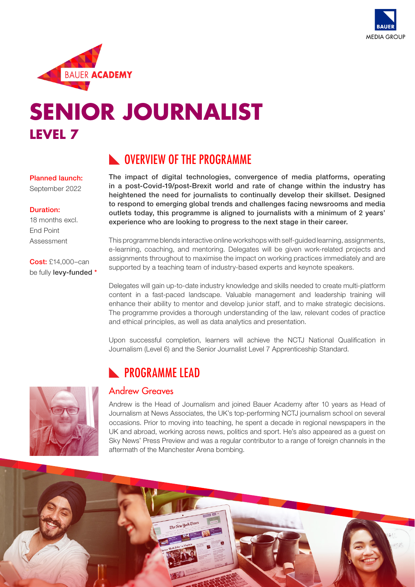



# **SENIOR JOURNALIST LEVEL 7**

## **NUMBER OVERVIEW OF THE PROGRAMME**

The impact of digital technologies, convergence of media platforms, operating in a post-Covid-19/post-Brexit world and rate of change within the industry has heightened the need for journalists to continually develop their skillset. Designed to respond to emerging global trends and challenges facing newsrooms and media outlets today, this programme is aligned to journalists with a minimum of 2 years' experience who are looking to progress to the next stage in their career.

This programme blends interactive online workshops with self-guided learning, assignments, e-learning, coaching, and mentoring. Delegates will be given work-related projects and assignments throughout to maximise the impact on working practices immediately and are supported by a teaching team of industry-based experts and keynote speakers.

Delegates will gain up-to-date industry knowledge and skills needed to create multi-platform content in a fast-paced landscape. Valuable management and leadership training will enhance their ability to mentor and develop junior staff, and to make strategic decisions. The programme provides a thorough understanding of the law, relevant codes of practice and ethical principles, as well as data analytics and presentation.

Upon successful completion, learners will achieve the NCTJ National Qualification in Journalism (Level 6) and the Senior Journalist Level 7 Apprenticeship Standard.

## **N** PROGRAMME LEAD

### Andrew Greaves

Andrew is the Head of Journalism and joined Bauer Academy after 10 years as Head of Journalism at News Associates, the UK's top-performing NCTJ journalism school on several occasions. Prior to moving into teaching, he spent a decade in regional newspapers in the UK and abroad, working across news, politics and sport. He's also appeared as a guest on Sky News' Press Preview and was a regular contributor to a range of foreign channels in the aftermath of the Manchester Arena bombing.

#### Planned launch:

September 2022

#### Duration:

18 months excl. End Point Assessment

Cost: £14,000–can be fully levy-funded \*